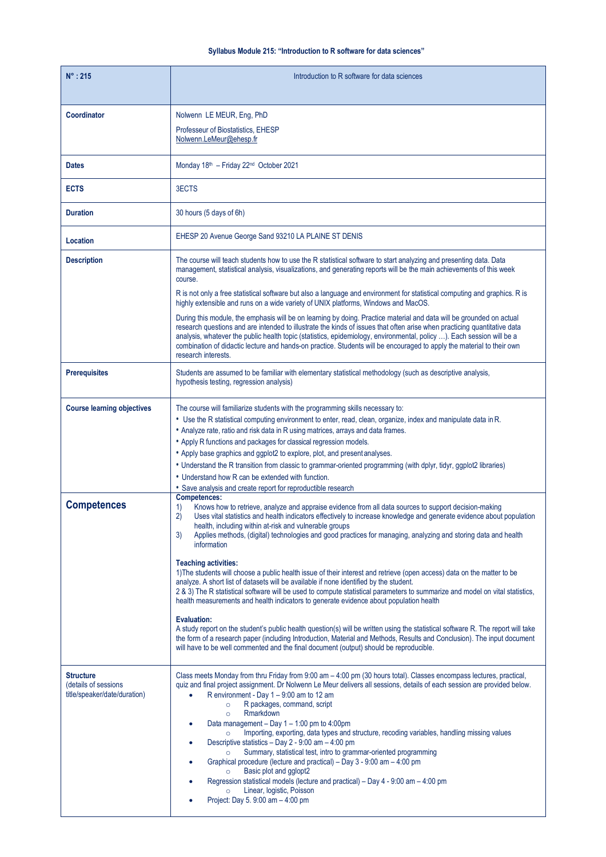## **Syllabus Module 215: "Introduction to R software for data sciences"**

| $N^\circ$ : 215                                                          | Introduction to R software for data sciences                                                                                                                                                                                                                                                                                                                                                                                                                                                                                                                                                                                                                                                                                                                                                                                                                                                                                                                                                                                                                                                                                                                                                                                                                                                                            |
|--------------------------------------------------------------------------|-------------------------------------------------------------------------------------------------------------------------------------------------------------------------------------------------------------------------------------------------------------------------------------------------------------------------------------------------------------------------------------------------------------------------------------------------------------------------------------------------------------------------------------------------------------------------------------------------------------------------------------------------------------------------------------------------------------------------------------------------------------------------------------------------------------------------------------------------------------------------------------------------------------------------------------------------------------------------------------------------------------------------------------------------------------------------------------------------------------------------------------------------------------------------------------------------------------------------------------------------------------------------------------------------------------------------|
| <b>Coordinator</b>                                                       | Nolwenn LE MEUR, Eng, PhD<br>Professeur of Biostatistics, EHESP<br>Nolwenn.LeMeur@ehesp.fr                                                                                                                                                                                                                                                                                                                                                                                                                                                                                                                                                                                                                                                                                                                                                                                                                                                                                                                                                                                                                                                                                                                                                                                                                              |
| <b>Dates</b>                                                             | Monday 18th - Friday 22nd October 2021                                                                                                                                                                                                                                                                                                                                                                                                                                                                                                                                                                                                                                                                                                                                                                                                                                                                                                                                                                                                                                                                                                                                                                                                                                                                                  |
| <b>ECTS</b>                                                              | 3ECTS                                                                                                                                                                                                                                                                                                                                                                                                                                                                                                                                                                                                                                                                                                                                                                                                                                                                                                                                                                                                                                                                                                                                                                                                                                                                                                                   |
| <b>Duration</b>                                                          | 30 hours (5 days of 6h)                                                                                                                                                                                                                                                                                                                                                                                                                                                                                                                                                                                                                                                                                                                                                                                                                                                                                                                                                                                                                                                                                                                                                                                                                                                                                                 |
| Location                                                                 | EHESP 20 Avenue George Sand 93210 LA PLAINE ST DENIS                                                                                                                                                                                                                                                                                                                                                                                                                                                                                                                                                                                                                                                                                                                                                                                                                                                                                                                                                                                                                                                                                                                                                                                                                                                                    |
| <b>Description</b>                                                       | The course will teach students how to use the R statistical software to start analyzing and presenting data. Data<br>management, statistical analysis, visualizations, and generating reports will be the main achievements of this week<br>course.                                                                                                                                                                                                                                                                                                                                                                                                                                                                                                                                                                                                                                                                                                                                                                                                                                                                                                                                                                                                                                                                     |
|                                                                          | R is not only a free statistical software but also a language and environment for statistical computing and graphics. R is<br>highly extensible and runs on a wide variety of UNIX platforms, Windows and MacOS.                                                                                                                                                                                                                                                                                                                                                                                                                                                                                                                                                                                                                                                                                                                                                                                                                                                                                                                                                                                                                                                                                                        |
|                                                                          | During this module, the emphasis will be on learning by doing. Practice material and data will be grounded on actual<br>research questions and are intended to illustrate the kinds of issues that often arise when practicing quantitative data<br>analysis, whatever the public health topic (statistics, epidemiology, environmental, policy ). Each session will be a<br>combination of didactic lecture and hands-on practice. Students will be encouraged to apply the material to their own<br>research interests.                                                                                                                                                                                                                                                                                                                                                                                                                                                                                                                                                                                                                                                                                                                                                                                               |
| <b>Prerequisites</b>                                                     | Students are assumed to be familiar with elementary statistical methodology (such as descriptive analysis,<br>hypothesis testing, regression analysis)                                                                                                                                                                                                                                                                                                                                                                                                                                                                                                                                                                                                                                                                                                                                                                                                                                                                                                                                                                                                                                                                                                                                                                  |
| <b>Course learning objectives</b>                                        | The course will familiarize students with the programming skills necessary to:<br>• Use the R statistical computing environment to enter, read, clean, organize, index and manipulate data in R.<br>• Analyze rate, ratio and risk data in R using matrices, arrays and data frames.<br>• Apply R functions and packages for classical regression models.<br>• Apply base graphics and ggplot2 to explore, plot, and present analyses.<br>. Understand the R transition from classic to grammar-oriented programming (with dplyr, tidyr, ggplot2 libraries)<br>• Understand how R can be extended with function.<br>. Save analysis and create report for reproductible research                                                                                                                                                                                                                                                                                                                                                                                                                                                                                                                                                                                                                                        |
| <b>Competences</b>                                                       | Competences:<br>Knows how to retrieve, analyze and appraise evidence from all data sources to support decision-making<br>1)<br>2)<br>Uses vital statistics and health indicators effectively to increase knowledge and generate evidence about population<br>health, including within at-risk and vulnerable groups<br>3)<br>Applies methods, (digital) technologies and good practices for managing, analyzing and storing data and health<br>information<br><b>Teaching activities:</b><br>1) The students will choose a public health issue of their interest and retrieve (open access) data on the matter to be<br>analyze. A short list of datasets will be available if none identified by the student.<br>2 & 3) The R statistical software will be used to compute statistical parameters to summarize and model on vital statistics,<br>health measurements and health indicators to generate evidence about population health<br><b>Evaluation:</b><br>A study report on the student's public health question(s) will be written using the statistical software R. The report will take<br>the form of a research paper (including Introduction, Material and Methods, Results and Conclusion). The input document<br>will have to be well commented and the final document (output) should be reproducible. |
| <b>Structure</b><br>(details of sessions<br>title/speaker/date/duration) | Class meets Monday from thru Friday from 9:00 am - 4:00 pm (30 hours total). Classes encompass lectures, practical,<br>quiz and final project assignment. Dr Nolwenn Le Meur delivers all sessions, details of each session are provided below.<br>R environment - Day $1 - 9:00$ am to 12 am<br>$\bullet$<br>R packages, command, script<br>$\circ$<br>Rmarkdown<br>$\circ$<br>Data management $-$ Day 1 $-$ 1:00 pm to 4:00pm<br>Importing, exporting, data types and structure, recoding variables, handling missing values<br>$\circ$<br>Descriptive statistics - Day 2 - 9:00 am - 4:00 pm<br>Summary, statistical test, intro to grammar-oriented programming<br>Graphical procedure (lecture and practical) – Day 3 - 9:00 am – 4:00 pm<br>Basic plot and gglopt2<br>$\circ$<br>Regression statistical models (lecture and practical) – Day 4 - 9:00 am – 4:00 pm<br>Linear, logistic, Poisson<br>$\circ$<br>Project: Day 5. 9:00 am - 4:00 pm                                                                                                                                                                                                                                                                                                                                                                   |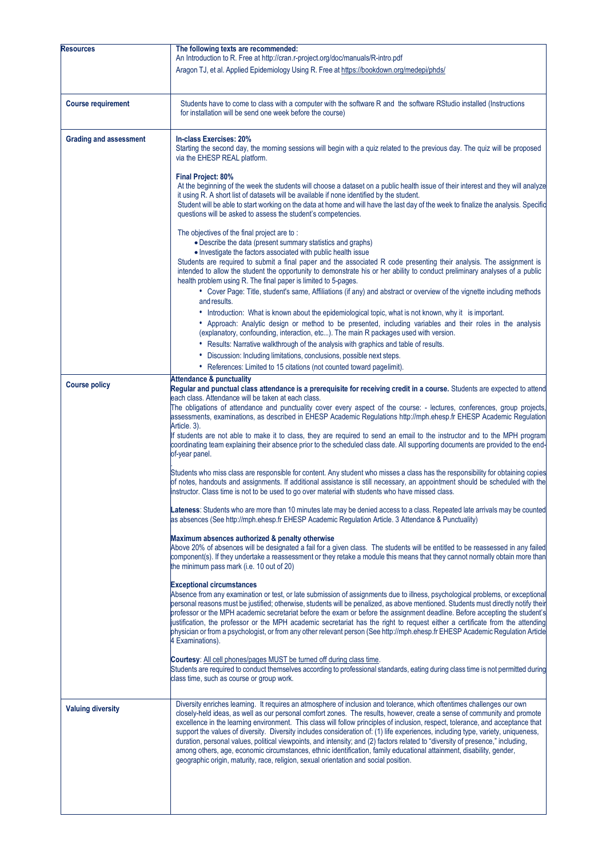| <b>Resources</b>              | The following texts are recommended:<br>An Introduction to R. Free at http://cran.r-project.org/doc/manuals/R-intro.pdf                                                                                                                                                                                                                                                                                                                                                                                                                                                                                                                                                                                                                                                                                                                                                     |
|-------------------------------|-----------------------------------------------------------------------------------------------------------------------------------------------------------------------------------------------------------------------------------------------------------------------------------------------------------------------------------------------------------------------------------------------------------------------------------------------------------------------------------------------------------------------------------------------------------------------------------------------------------------------------------------------------------------------------------------------------------------------------------------------------------------------------------------------------------------------------------------------------------------------------|
|                               | Aragon TJ, et al. Applied Epidemiology Using R. Free at https://bookdown.org/medepi/phds/                                                                                                                                                                                                                                                                                                                                                                                                                                                                                                                                                                                                                                                                                                                                                                                   |
| <b>Course requirement</b>     | Students have to come to class with a computer with the software R and the software RStudio installed (Instructions<br>for installation will be send one week before the course)                                                                                                                                                                                                                                                                                                                                                                                                                                                                                                                                                                                                                                                                                            |
| <b>Grading and assessment</b> | In-class Exercises: 20%<br>Starting the second day, the morning sessions will begin with a quiz related to the previous day. The quiz will be proposed<br>via the EHESP REAL platform.                                                                                                                                                                                                                                                                                                                                                                                                                                                                                                                                                                                                                                                                                      |
|                               | Final Project: 80%<br>At the beginning of the week the students will choose a dataset on a public health issue of their interest and they will analyze<br>it using R. A short list of datasets will be available if none identified by the student.<br>Student will be able to start working on the data at home and will have the last day of the week to finalize the analysis. Specific<br>questions will be asked to assess the student's competencies.                                                                                                                                                                                                                                                                                                                                                                                                                 |
|                               | The objectives of the final project are to:<br>• Describe the data (present summary statistics and graphs)<br>• Investigate the factors associated with public health issue<br>Students are required to submit a final paper and the associated R code presenting their analysis. The assignment is                                                                                                                                                                                                                                                                                                                                                                                                                                                                                                                                                                         |
|                               | intended to allow the student the opportunity to demonstrate his or her ability to conduct preliminary analyses of a public<br>health problem using R. The final paper is limited to 5-pages.<br>• Cover Page: Title, student's same, Affiliations (if any) and abstract or overview of the vignette including methods                                                                                                                                                                                                                                                                                                                                                                                                                                                                                                                                                      |
|                               | and results.<br>• Introduction: What is known about the epidemiological topic, what is not known, why it is important.<br>• Approach: Analytic design or method to be presented, including variables and their roles in the analysis<br>(explanatory, confounding, interaction, etc). The main R packages used with version.<br>• Results: Narrative walkthrough of the analysis with graphics and table of results.                                                                                                                                                                                                                                                                                                                                                                                                                                                        |
|                               | • Discussion: Including limitations, conclusions, possible next steps.<br>• References: Limited to 15 citations (not counted toward pagelimit).                                                                                                                                                                                                                                                                                                                                                                                                                                                                                                                                                                                                                                                                                                                             |
| <b>Course policy</b>          | <b>Attendance &amp; punctuality</b><br>Regular and punctual class attendance is a prerequisite for receiving credit in a course. Students are expected to attend<br>each class. Attendance will be taken at each class.<br>The obligations of attendance and punctuality cover every aspect of the course: - lectures, conferences, group projects,<br>assessments, examinations, as described in EHESP Academic Regulations http://mph.ehesp.fr EHESP Academic Regulation<br>Article. 3).<br>If students are not able to make it to class, they are required to send an email to the instructor and to the MPH program<br>coordinating team explaining their absence prior to the scheduled class date. All supporting documents are provided to the end-<br>of-year panel.                                                                                                |
|                               | Students who miss class are responsible for content. Any student who misses a class has the responsibility for obtaining copies<br>of notes, handouts and assignments. If additional assistance is still necessary, an appointment should be scheduled with the<br>instructor. Class time is not to be used to go over material with students who have missed class.                                                                                                                                                                                                                                                                                                                                                                                                                                                                                                        |
|                               | Lateness: Students who are more than 10 minutes late may be denied access to a class. Repeated late arrivals may be counted<br>as absences (See http://mph.ehesp.fr EHESP Academic Regulation Article. 3 Attendance & Punctuality)                                                                                                                                                                                                                                                                                                                                                                                                                                                                                                                                                                                                                                          |
|                               | Maximum absences authorized & penalty otherwise<br>Above 20% of absences will be designated a fail for a given class. The students will be entitled to be reassessed in any failed<br>component(s). If they undertake a reassessment or they retake a module this means that they cannot normally obtain more than<br>the minimum pass mark (i.e. 10 out of 20)                                                                                                                                                                                                                                                                                                                                                                                                                                                                                                             |
|                               | <b>Exceptional circumstances</b><br>Absence from any examination or test, or late submission of assignments due to illness, psychological problems, or exceptional<br>personal reasons must be justified; otherwise, students will be penalized, as above mentioned. Students must directly notify their<br>professor or the MPH academic secretariat before the exam or before the assignment deadline. Before accepting the student's<br>justification, the professor or the MPH academic secretariat has the right to request either a certificate from the attending<br>physician or from a psychologist, or from any other relevant person (See http://mph.ehesp.fr EHESP Academic Regulation Article<br>4 Examinations).                                                                                                                                              |
|                               | Courtesy: All cell phones/pages MUST be turned off during class time.<br>Students are required to conduct themselves according to professional standards, eating during class time is not permitted during<br>class time, such as course or group work.                                                                                                                                                                                                                                                                                                                                                                                                                                                                                                                                                                                                                     |
| <b>Valuing diversity</b>      | Diversity enriches learning. It requires an atmosphere of inclusion and tolerance, which oftentimes challenges our own<br>closely-held ideas, as well as our personal comfort zones. The results, however, create a sense of community and promote<br>excellence in the learning environment. This class will follow principles of inclusion, respect, tolerance, and acceptance that<br>support the values of diversity. Diversity includes consideration of: (1) life experiences, including type, variety, uniqueness,<br>duration, personal values, political viewpoints, and intensity; and (2) factors related to "diversity of presence," including,<br>among others, age, economic circumstances, ethnic identification, family educational attainment, disability, gender,<br>geographic origin, maturity, race, religion, sexual orientation and social position. |
|                               |                                                                                                                                                                                                                                                                                                                                                                                                                                                                                                                                                                                                                                                                                                                                                                                                                                                                             |